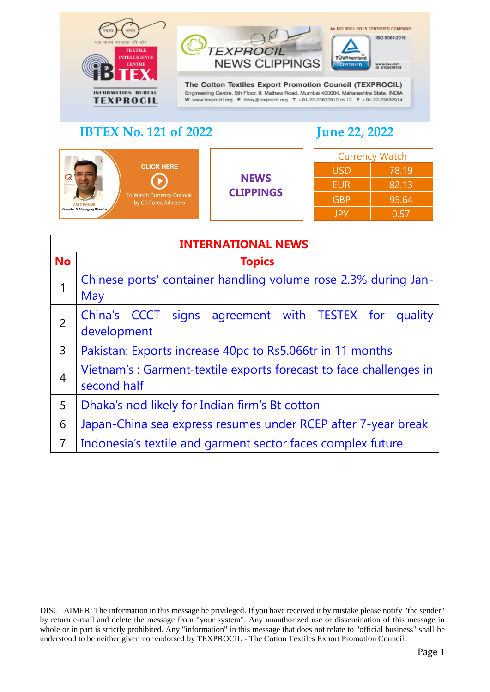



TÜVRheir

CERTIFIED

An ISO 9001:2015 CERTIFIED COMPANY

ISO 9001:2015

www.buv.com<br>ID 9105079408

| <b>CLICK HERE</b><br><b>CREI ROLLY</b><br>To Watch Currency Outlook<br>by CR Forex Advisors<br><b>AMIT PABARI</b><br><b>Founder &amp; Managing Director</b> | <b>NEWS</b><br><b>CLIPPINGS</b> | <b>Currency Watch</b> |       |
|-------------------------------------------------------------------------------------------------------------------------------------------------------------|---------------------------------|-----------------------|-------|
|                                                                                                                                                             |                                 | <b>USD</b>            | 78.19 |
|                                                                                                                                                             |                                 | <b>EUR</b>            | 82.13 |
|                                                                                                                                                             |                                 | <b>GBP</b>            | 95.64 |
|                                                                                                                                                             |                                 | JPY                   | በ 57  |

<span id="page-0-0"></span>

| <b>INTERNATIONAL NEWS</b> |                                                                                  |  |  |
|---------------------------|----------------------------------------------------------------------------------|--|--|
| <b>No</b>                 | <b>Topics</b>                                                                    |  |  |
|                           | Chinese ports' container handling volume rose 2.3% during Jan-<br>May            |  |  |
| $\overline{2}$            | China's CCCT signs agreement with TESTEX for<br>quality<br>development           |  |  |
| 3                         | Pakistan: Exports increase 40pc to Rs5.066tr in 11 months                        |  |  |
| 4                         | Vietnam's: Garment-textile exports forecast to face challenges in<br>second half |  |  |
| 5                         | Dhaka's nod likely for Indian firm's Bt cotton                                   |  |  |
| 6                         | Japan-China sea express resumes under RCEP after 7-year break                    |  |  |
| $\overline{7}$            | Indonesia's textile and garment sector faces complex future                      |  |  |

DISCLAIMER: The information in this message be privileged. If you have received it by mistake please notify "the sender" by return e-mail and delete the message from "your system". Any unauthorized use or dissemination of this message in whole or in part is strictly prohibited. Any "information" in this message that does not relate to "official business" shall be understood to be neither given nor endorsed by TEXPROCIL - The Cotton Textiles Export Promotion Council.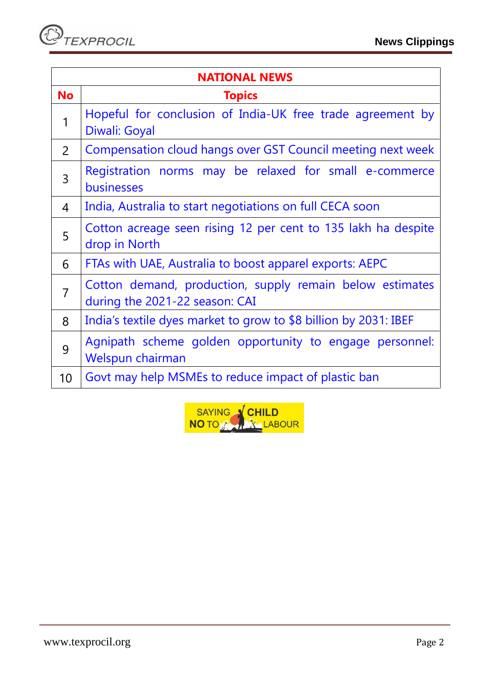| <b>NATIONAL NEWS</b> |                                                                                            |  |
|----------------------|--------------------------------------------------------------------------------------------|--|
| <b>No</b>            | <b>Topics</b>                                                                              |  |
| $\mathbf 1$          | Hopeful for conclusion of India-UK free trade agreement by<br>Diwali: Goyal                |  |
| $\overline{2}$       | Compensation cloud hangs over GST Council meeting next week                                |  |
| 3                    | Registration norms may be relaxed for small e-commerce<br>businesses                       |  |
| 4                    | India, Australia to start negotiations on full CECA soon                                   |  |
| 5                    | Cotton acreage seen rising 12 per cent to 135 lakh ha despite<br>drop in North             |  |
| 6                    | FTAs with UAE, Australia to boost apparel exports: AEPC                                    |  |
| $\overline{7}$       | Cotton demand, production, supply remain below estimates<br>during the 2021-22 season: CAI |  |
| 8                    | India's textile dyes market to grow to \$8 billion by 2031: IBEF                           |  |
| 9                    | Agnipath scheme golden opportunity to engage personnel:<br>Welspun chairman                |  |
| 10                   | Govt may help MSMEs to reduce impact of plastic ban                                        |  |

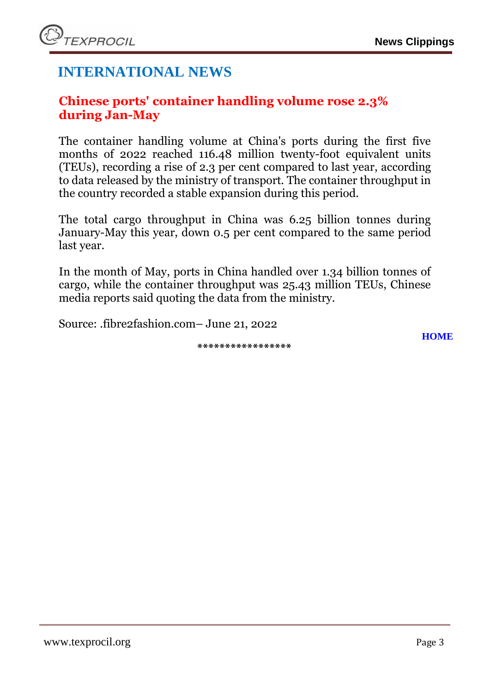# **INTERNATIONAL NEWS**

### <span id="page-2-0"></span>**Chinese ports' container handling volume rose 2.3% during Jan-May**

The container handling volume at China's ports during the first five months of 2022 reached 116.48 million twenty-foot equivalent units (TEUs), recording a rise of 2.3 per cent compared to last year, according to data released by the ministry of transport. The container throughput in the country recorded a stable expansion during this period.

The total cargo throughput in China was 6.25 billion tonnes during January-May this year, down 0.5 per cent compared to the same period last year.

In the month of May, ports in China handled over 1.34 billion tonnes of cargo, while the container throughput was 25.43 million TEUs, Chinese media reports said quoting the data from the ministry.

<span id="page-2-1"></span>Source: .fibre2fashion.com– June 21, 2022

**\*\*\*\*\*\*\*\*\*\*\*\*\*\*\*\*\***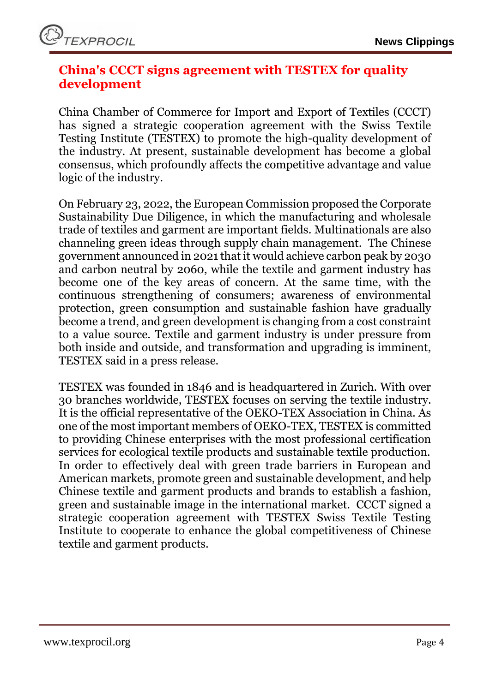

### **China's CCCT signs agreement with TESTEX for quality development**

China Chamber of Commerce for Import and Export of Textiles (CCCT) has signed a strategic cooperation agreement with the Swiss Textile Testing Institute (TESTEX) to promote the high-quality development of the industry. At present, sustainable development has become a global consensus, which profoundly affects the competitive advantage and value logic of the industry.

On February 23, 2022, the European Commission proposed the Corporate Sustainability Due Diligence, in which the manufacturing and wholesale trade of textiles and garment are important fields. Multinationals are also channeling green ideas through supply chain management. The Chinese government announced in 2021 that it would achieve carbon peak by 2030 and carbon neutral by 2060, while the textile and garment industry has become one of the key areas of concern. At the same time, with the continuous strengthening of consumers; awareness of environmental protection, green consumption and sustainable fashion have gradually become a trend, and green development is changing from a cost constraint to a value source. Textile and garment industry is under pressure from both inside and outside, and transformation and upgrading is imminent, TESTEX said in a press release.

TESTEX was founded in 1846 and is headquartered in Zurich. With over 30 branches worldwide, TESTEX focuses on serving the textile industry. It is the official representative of the OEKO-TEX Association in China. As one of the most important members of OEKO-TEX, TESTEX is committed to providing Chinese enterprises with the most professional certification services for ecological textile products and sustainable textile production. In order to effectively deal with green trade barriers in European and American markets, promote green and sustainable development, and help Chinese textile and garment products and brands to establish a fashion, green and sustainable image in the international market. CCCT signed a strategic cooperation agreement with TESTEX Swiss Textile Testing Institute to cooperate to enhance the global competitiveness of Chinese textile and garment products.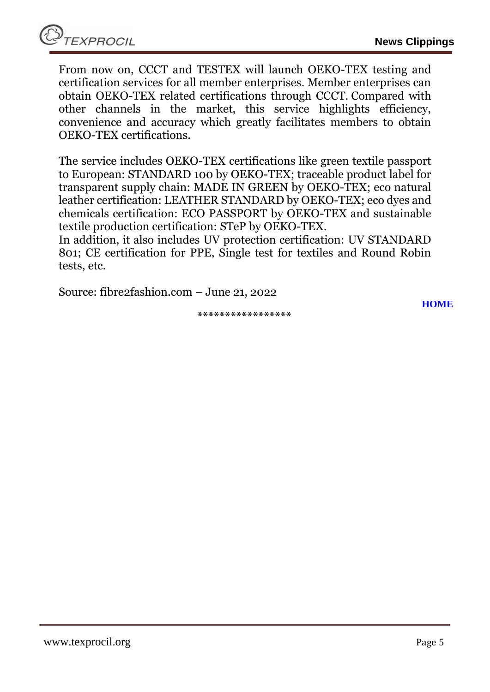From now on, CCCT and TESTEX will launch OEKO-TEX testing and certification services for all member enterprises. Member enterprises can obtain OEKO-TEX related certifications through CCCT. Compared with other channels in the market, this service highlights efficiency, convenience and accuracy which greatly facilitates members to obtain OEKO-TEX certifications.

The service includes OEKO-TEX certifications like green textile passport to European: STANDARD 100 by OEKO-TEX; traceable product label for transparent supply chain: MADE IN GREEN by OEKO-TEX; eco natural leather certification: LEATHER STANDARD by OEKO-TEX; eco dyes and chemicals certification: ECO PASSPORT by OEKO-TEX and sustainable textile production certification: STeP by OEKO-TEX.

In addition, it also includes UV protection certification: UV STANDARD 801; CE certification for PPE, Single test for textiles and Round Robin tests, etc.

Source: fibre2fashion.com – June 21, 2022

**\*\*\*\*\*\*\*\*\*\*\*\*\*\*\*\*\***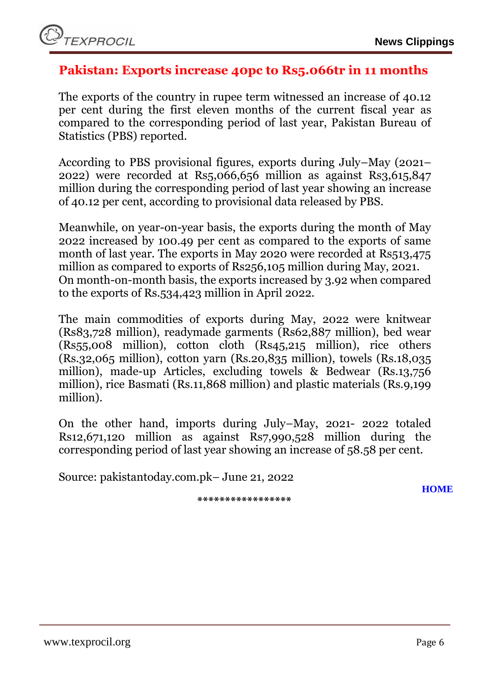

### <span id="page-5-0"></span>**Pakistan: Exports increase 40pc to Rs5.066tr in 11 months**

The exports of the country in rupee term witnessed an increase of 40.12 per cent during the first eleven months of the current fiscal year as compared to the corresponding period of last year, Pakistan Bureau of Statistics (PBS) reported.

According to PBS provisional figures, exports during July–May (2021– 2022) were recorded at Rs5,066,656 million as against Rs3,615,847 million during the corresponding period of last year showing an increase of 40.12 per cent, according to provisional data released by PBS.

Meanwhile, on year-on-year basis, the exports during the month of May 2022 increased by 100.49 per cent as compared to the exports of same month of last year. The exports in May 2020 were recorded at Rs513,475 million as compared to exports of Rs256,105 million during May, 2021. On month-on-month basis, the exports increased by 3.92 when compared to the exports of Rs.534,423 million in April 2022.

The main commodities of exports during May, 2022 were knitwear (Rs83,728 million), readymade garments (Rs62,887 million), bed wear (Rs55,008 million), cotton cloth (Rs45,215 million), rice others (Rs.32,065 million), cotton yarn (Rs.20,835 million), towels (Rs.18,035 million), made-up Articles, excluding towels & Bedwear (Rs.13,756 million), rice Basmati (Rs.11,868 million) and plastic materials (Rs.9,199 million).

On the other hand, imports during July–May, 2021- 2022 totaled Rs12,671,120 million as against Rs7,990,528 million during the corresponding period of last year showing an increase of 58.58 per cent.

Source: pakistantoday.com.pk– June 21, 2022

**\*\*\*\*\*\*\*\*\*\*\*\*\*\*\*\*\***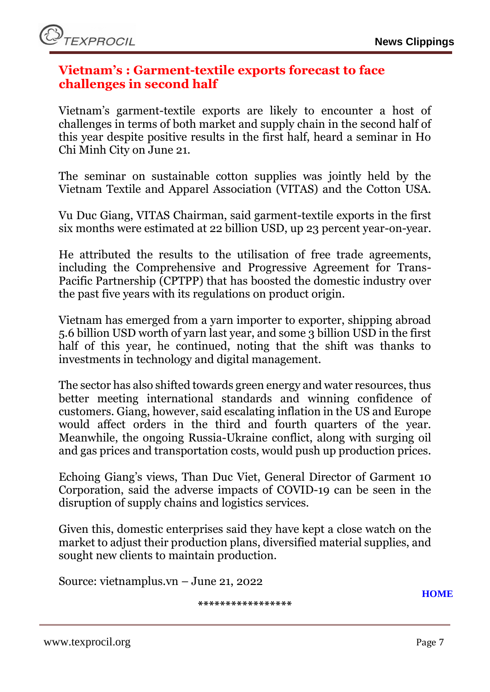### <span id="page-6-0"></span>**Vietnam's : Garment-textile exports forecast to face challenges in second half**

Vietnam's [garment-textile exports](https://en.vietnamplus.vn/tags/garment-textile-exports.vnp) are likely to encounter a host of challenges in terms of both market and supply chain in the second half of this year despite positive results in the first half, heard a seminar in Ho Chi Minh City on June 21.

The seminar on sustainable cotton supplies was jointly held by the Vietnam Textile and Apparel Association [\(VITAS\)](https://en.vietnamplus.vn/tags/VITAS.vnp) and the Cotton USA.

Vu Duc Giang, VITAS Chairman, said garment-textile exports in the first six months were estimated at 22 billion USD, up 23 percent year-on-year.

He attributed the results to the utilisation of free trade agreements, including the Comprehensive and Progressive Agreement for Trans-Pacific Partnership [\(CPTPP\)](https://en.vietnamplus.vn/tags/CPTPP.vnp) that has boosted the domestic industry over the past five years with its regulations on product origin.

Vietnam has emerged from a yarn importer to exporter, shipping abroad 5.6 billion USD worth of yarn last year, and some 3 billion USD in the first half of this year, he continued, noting that the shift was thanks to investments in technology and digital management.

The sector has also shifted towards green energy and water resources, thus better meeting international standards and winning confidence of customers. Giang, however, said escalating inflation in the US and Europe would affect orders in the third and fourth quarters of the year. Meanwhile, the ongoing Russia-Ukraine conflict, along with surging oil and gas prices and transportation costs, would push up production prices.

Echoing Giang's views, Than Duc Viet, General Director of Garment 10 Corporation, said the adverse impacts of COVID-19 can be seen in the disruption of [supply chains](https://en.vietnamplus.vn/tags/supply-chain.vnp) and logistics services.

Given this, domestic enterprises said they have kept a close watch on the market to adjust their production plans, diversified material supplies, and sought new clients to maintain production.

Source: vietnamplus.vn – June 21, 2022

**\*\*\*\*\*\*\*\*\*\*\*\*\*\*\*\*\***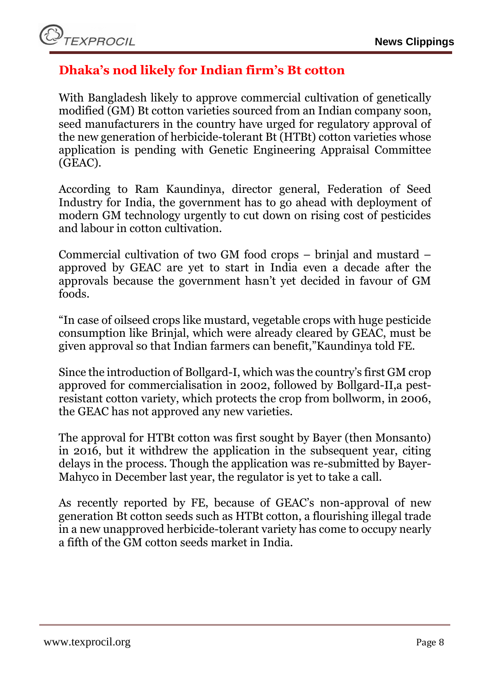# <span id="page-7-0"></span>**Dhaka's nod likely for Indian firm's Bt cotton**

With Bangladesh likely to approve commercial cultivation of genetically modified (GM) Bt cotton varieties sourced from an Indian company soon, seed manufacturers in the country have urged for regulatory approval of the new generation of herbicide-tolerant Bt (HTBt) cotton varieties whose application is pending with Genetic Engineering Appraisal Committee (GEAC).

According to Ram Kaundinya, director general, Federation of Seed Industry for India, the government has to go ahead with deployment of modern GM technology urgently to cut down on rising cost of pesticides and labour in cotton cultivation.

Commercial cultivation of two GM food crops – brinjal and mustard – approved by GEAC are yet to start in India even a decade after the approvals because the government hasn't yet decided in favour of GM foods.

"In case of oilseed crops like mustard, vegetable crops with huge pesticide consumption like Brinjal, which were already cleared by GEAC, must be given approval so that Indian farmers can benefit,"Kaundinya told FE.

Since the introduction of Bollgard-I, which was the country's first GM crop approved for commercialisation in 2002, followed by Bollgard-II,a pestresistant cotton variety, which protects the crop from bollworm, in 2006, the GEAC has not approved any new varieties.

The approval for HTBt cotton was first sought by Bayer (then Monsanto) in 2016, but it withdrew the application in the subsequent year, citing delays in the process. Though the application was re-submitted by Bayer-Mahyco in December last year, the regulator is yet to take a call.

As recently reported by FE, because of GEAC's non-approval of new generation Bt cotton seeds such as HTBt cotton, a flourishing illegal trade in a new unapproved herbicide-tolerant variety has come to occupy nearly a fifth of the GM cotton seeds market in India.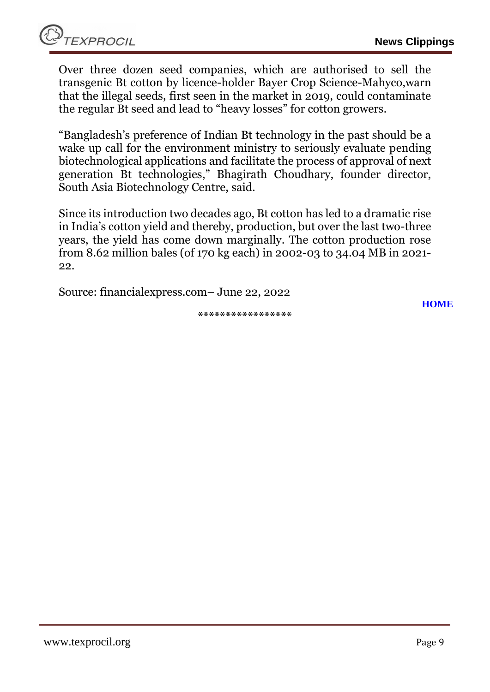Over three dozen seed companies, which are authorised to sell the transgenic Bt cotton by licence-holder Bayer Crop Science-Mahyco,warn that the illegal seeds, first seen in the market in 2019, could contaminate the regular Bt seed and lead to "heavy losses" for cotton growers.

"Bangladesh's preference of Indian Bt technology in the past should be a wake up call for the environment ministry to seriously evaluate pending biotechnological applications and facilitate the process of approval of next generation Bt technologies," Bhagirath Choudhary, founder director, South Asia Biotechnology Centre, said.

Since its introduction two decades ago, Bt cotton has led to a dramatic rise in India's cotton yield and thereby, production, but over the last two-three years, the yield has come down marginally. The cotton production rose from 8.62 million bales (of 170 kg each) in 2002-03 to 34.04 MB in 2021- 22.

Source: financialexpress.com– June 22, 2022

**\*\*\*\*\*\*\*\*\*\*\*\*\*\*\*\*\***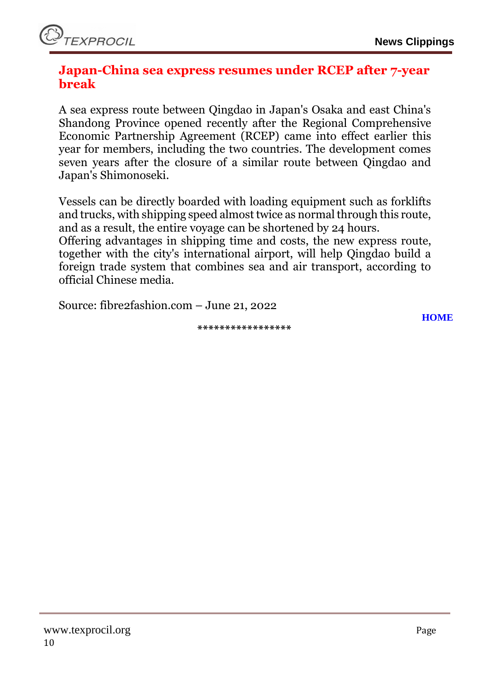### <span id="page-9-0"></span>**Japan-China sea express resumes under RCEP after 7-year break**

A sea express route between Qingdao in Japan's Osaka and east China's Shandong Province opened recently after the [Regional Comprehensive](https://www.fibre2fashion.com/news/textile-news/rcep-to-spur-china-japan-economic-trade-cooperation-chinese-experts-278266-newsdetails.htm?utm_source=f2f&utm_medium=Content&utm_campaign=Interlinking)  [Economic Partnership Agreement \(RCEP\)](https://www.fibre2fashion.com/news/textile-news/rcep-to-spur-china-japan-economic-trade-cooperation-chinese-experts-278266-newsdetails.htm?utm_source=f2f&utm_medium=Content&utm_campaign=Interlinking) came into effect earlier this year for members, including the two countries. The development comes seven years after the closure of a similar route between Qingdao and Japan's Shimonoseki.

Vessels can be directly boarded with loading equipment such as forklifts and trucks, with shipping speed almost twice as normal through this route, and as a result, the entire voyage can be shortened by 24 hours.

Offering advantages in shipping time and costs, the new express route, together with the city's international airport, will help Qingdao build a foreign trade system that combines sea and air transport, according to official Chinese media.

Source: fibre2fashion.com – June 21, 2022

**\*\*\*\*\*\*\*\*\*\*\*\*\*\*\*\*\***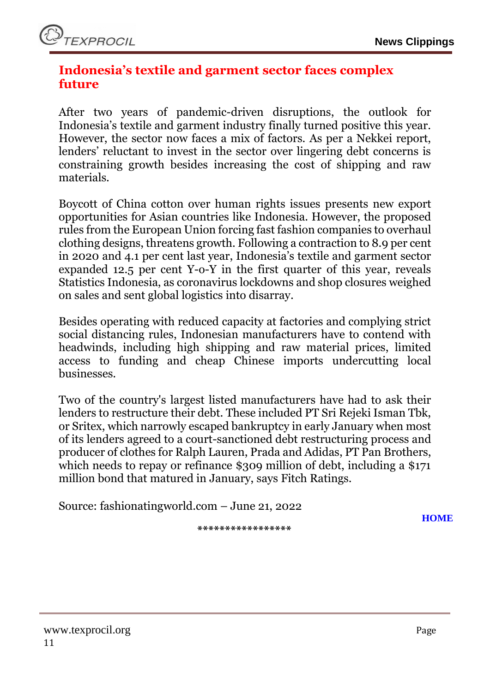# <span id="page-10-0"></span>**Indonesia's textile and garment sector faces complex future**

After two years of pandemic-driven disruptions, the outlook for Indonesia's textile and garment industry finally turned positive this year. However, the sector now faces a mix of factors. As per a Nekkei report, lenders' reluctant to invest in the sector over lingering debt concerns is constraining growth besides increasing the cost of shipping and raw materials.

Boycott of China cotton over human rights issues presents new export opportunities for Asian countries like Indonesia. However, the proposed rules from the European Union forcing fast fashion companies to overhaul clothing designs, threatens growth. Following a contraction to 8.9 per cent in 2020 and 4.1 per cent last year, Indonesia's textile and garment sector expanded 12.5 per cent Y-o-Y in the first quarter of this year, reveals Statistics Indonesia, as coronavirus lockdowns and shop closures weighed on sales and sent global logistics into disarray.

Besides operating with reduced capacity at factories and complying strict social distancing rules, Indonesian manufacturers have to contend with headwinds, including high shipping and raw material prices, limited access to funding and cheap Chinese imports undercutting local businesses.

Two of the country's largest listed manufacturers have had to ask their lenders to restructure their debt. These included PT Sri Rejeki Isman Tbk, or Sritex, which narrowly escaped bankruptcy in early January when most of its lenders agreed to a court-sanctioned debt restructuring process and producer of clothes for Ralph Lauren, Prada and Adidas, PT Pan Brothers, which needs to repay or refinance \$309 million of debt, including a \$171 million bond that matured in January, says Fitch Ratings.

Source: fashionatingworld.com – June 21, 2022

**\*\*\*\*\*\*\*\*\*\*\*\*\*\*\*\*\***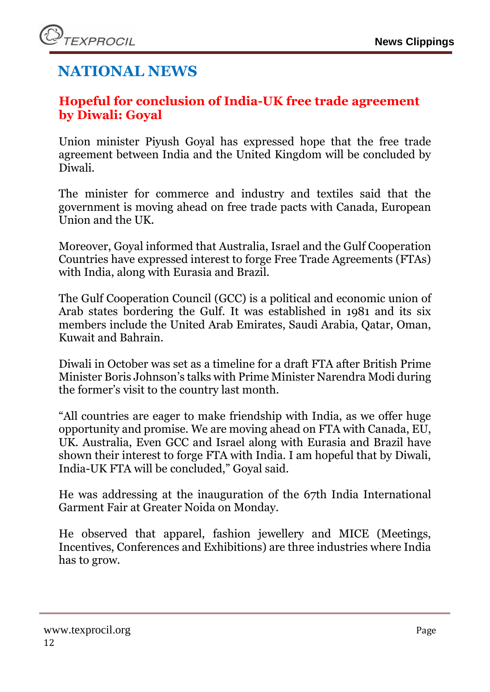# **NATIONAL NEWS**

# <span id="page-11-0"></span>**Hopeful for conclusion of India-UK free trade agreement by Diwali: Goyal**

Union minister Piyush Goyal has expressed hope that the free trade agreement between India and the United Kingdom will be concluded by Diwali.

The minister for commerce and industry and textiles said that the government is moving ahead on free trade pacts with Canada, European Union and the UK.

Moreover, Goyal informed that Australia, Israel and the Gulf Cooperation Countries have expressed interest to forge Free Trade Agreements (FTAs) with India, along with Eurasia and Brazil.

The Gulf Cooperation Council (GCC) is a political and economic union of Arab states bordering the Gulf. It was established in 1981 and its six members include the United Arab Emirates, Saudi Arabia, Qatar, Oman, Kuwait and Bahrain.

Diwali in October was set as a timeline for a draft FTA after British Prime Minister Boris Johnson's talks with Prime Minister Narendra Modi during the former's visit to the country last month.

"All countries are eager to make friendship with India, as we offer huge opportunity and promise. We are moving ahead on FTA with Canada, EU, UK. Australia, Even GCC and Israel along with Eurasia and Brazil have shown their interest to forge FTA with India. I am hopeful that by Diwali, India-UK FTA will be concluded," Goyal said.

He was addressing at the inauguration of the 67th India International Garment Fair at Greater Noida on Monday.

He observed that apparel, fashion jewellery and MICE (Meetings, Incentives, Conferences and Exhibitions) are three industries where India has to grow.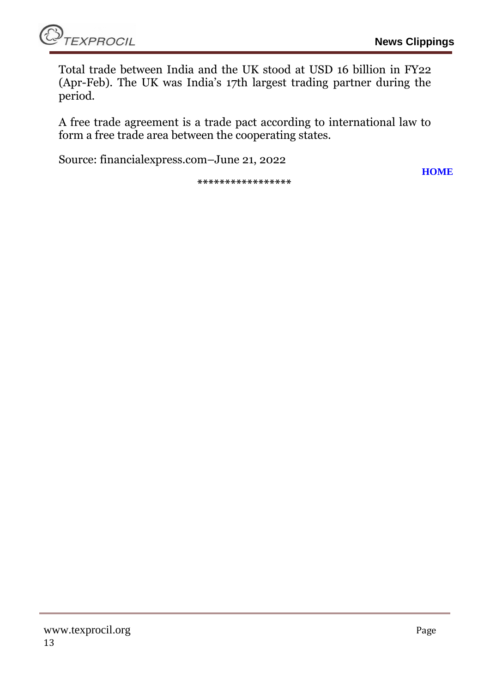Total trade between India and the UK stood at USD 16 billion in FY22 (Apr-Feb). The UK was India's 17th largest trading partner during the period.

A free trade agreement is a trade pact according to international law to form a free trade area between the cooperating states.

Source: financialexpress.com–June 21, 2022

**\*\*\*\*\*\*\*\*\*\*\*\*\*\*\*\*\***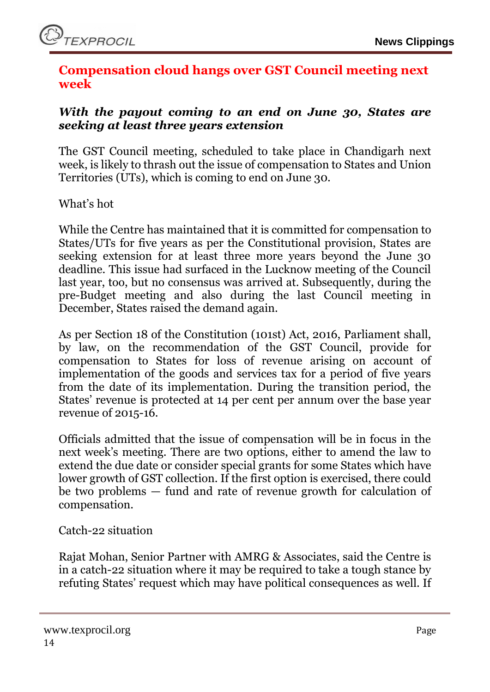### <span id="page-13-0"></span>**Compensation cloud hangs over GST Council meeting next week**

### *With the payout coming to an end on June 30, States are seeking at least three years extension*

The GST Council meeting, scheduled to take place in Chandigarh next week, is likely to thrash out the issue of compensation to States and Union Territories (UTs), which is coming to end on June 30.

What's hot

While the Centre has maintained that it is committed for compensation to States/UTs for five years as per the Constitutional provision, States are seeking extension for at least three more years beyond the June 30 deadline. This issue had surfaced in the Lucknow meeting of the Council last year, too, but no consensus was arrived at. Subsequently, during the pre-Budget meeting and also during the last Council meeting in December, States raised the demand again.

As per Section 18 of the Constitution (101st) Act, 2016, Parliament shall, by law, on the recommendation of the GST Council, provide for compensation to States for loss of revenue arising on account of implementation of the goods and services tax for a period of five years from the date of its implementation. During the transition period, the States' revenue is protected at 14 per cent per annum over the base year revenue of 2015-16.

Officials admitted that the issue of compensation will be in focus in the next week's meeting. There are two options, either to amend the law to extend the due date or consider special grants for some States which have lower growth of GST collection. If the first option is exercised, there could be two problems — fund and rate of revenue growth for calculation of compensation.

Catch-22 situation

Rajat Mohan, Senior Partner with AMRG & Associates, said the Centre is in a catch-22 situation where it may be required to take a tough stance by refuting States' request which may have political consequences as well. If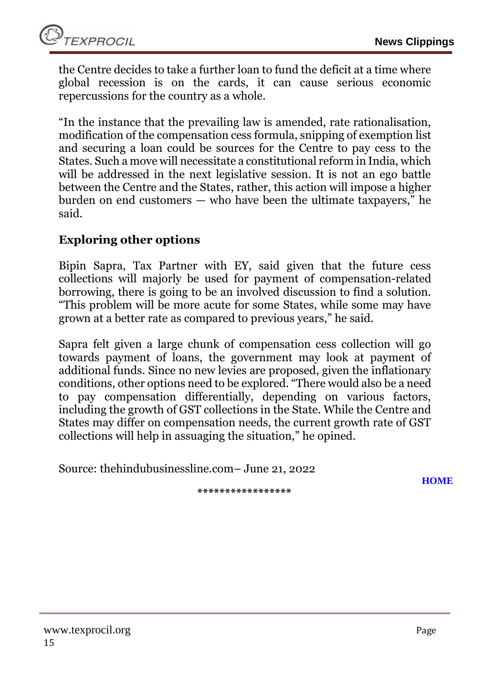

the Centre decides to take a further loan to fund the deficit at a time where global recession is on the cards, it can cause serious economic repercussions for the country as a whole.

"In the instance that the prevailing law is amended, rate rationalisation, modification of the compensation cess formula, snipping of exemption list and securing a loan could be sources for the Centre to pay cess to the States. Such a move will necessitate a constitutional reform in India, which will be addressed in the next legislative session. It is not an ego battle between the Centre and the States, rather, this action will impose a higher burden on end customers — who have been the ultimate taxpayers," he said.

### **Exploring other options**

Bipin Sapra, Tax Partner with EY, said given that the future cess collections will majorly be used for payment of compensation-related borrowing, there is going to be an involved discussion to find a solution. "This problem will be more acute for some States, while some may have grown at a better rate as compared to previous years," he said.

Sapra felt given a large chunk of compensation cess collection will go towards payment of loans, the government may look at payment of additional funds. Since no new levies are proposed, given the inflationary conditions, other options need to be explored. "There would also be a need to pay compensation differentially, depending on various factors, including the growth of GST collections in the State. While the Centre and States may differ on compensation needs, the current growth rate of GST collections will help in assuaging the situation," he opined.

Source: thehindubusinessline.com– June 21, 2022

**\*\*\*\*\*\*\*\*\*\*\*\*\*\*\*\*\***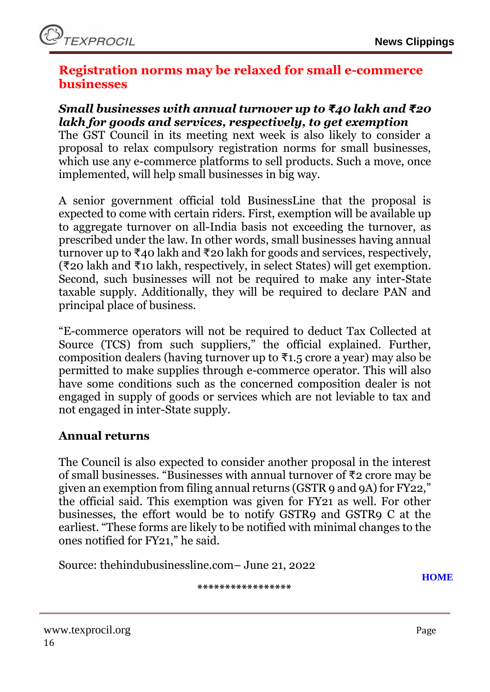### <span id="page-15-0"></span>**Registration norms may be relaxed for small e-commerce businesses**

### *Small businesses with annual turnover up to ₹40 lakh and ₹20 lakh for goods and services, respectively, to get exemption*

The GST Council in its meeting next week is also likely to consider a proposal to relax compulsory registration norms for small businesses, which use any e-commerce platforms to sell products. Such a move, once implemented, will help small businesses in big way.

A senior government official told BusinessLine that the proposal is expected to come with certain riders. First, exemption will be available up to aggregate turnover on all-India basis not exceeding the turnover, as prescribed under the law. In other words, small businesses having annual turnover up to ₹40 lakh and ₹20 lakh for goods and services, respectively, (₹20 lakh and ₹10 lakh, respectively, in select States) will get exemption. Second, such businesses will not be required to make any inter-State taxable supply. Additionally, they will be required to declare PAN and principal place of business.

"E-commerce operators will not be required to deduct Tax Collected at Source (TCS) from such suppliers," the official explained. Further, composition dealers (having turnover up to  $\overline{\tau}$ 1.5 crore a year) may also be permitted to make supplies through e-commerce operator. This will also have some conditions such as the concerned composition dealer is not engaged in supply of goods or services which are not leviable to tax and not engaged in inter-State supply.

### **Annual returns**

The Council is also expected to consider another proposal in the interest of small businesses. "Businesses with annual turnover of ₹2 crore may be given an exemption from filing annual returns (GSTR 9 and 9A) for FY22," the official said. This exemption was given for FY21 as well. For other businesses, the effort would be to notify GSTR9 and GSTR9 C at the earliest. "These forms are likely to be notified with minimal changes to the ones notified for FY21," he said.

Source: thehindubusinessline.com– June 21, 2022

**\*\*\*\*\*\*\*\*\*\*\*\*\*\*\*\*\***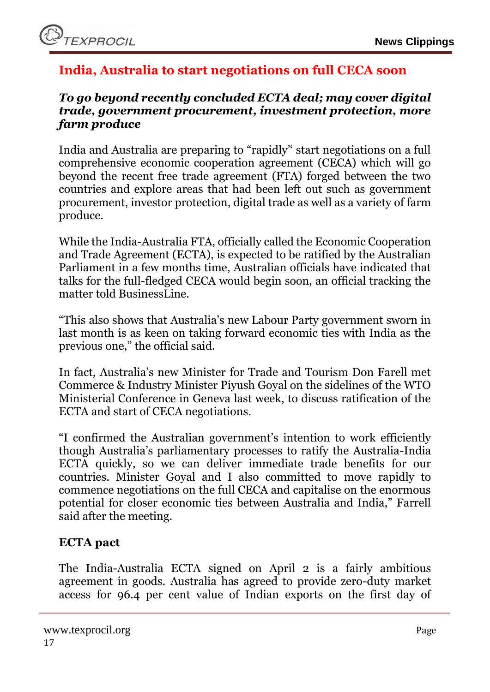# <span id="page-16-0"></span>**India, Australia to start negotiations on full CECA soon**

### *To go beyond recently concluded ECTA deal; may cover digital trade, government procurement, investment protection, more farm produce*

India and Australia are preparing to "rapidly'' start negotiations on a full comprehensive economic cooperation agreement (CECA) which will go beyond the recent free trade agreement (FTA) forged between the two countries and explore areas that had been left out such as government procurement, investor protection, digital trade as well as a variety of farm produce.

While the India-Australia FTA, officially called the Economic Cooperation and Trade Agreement (ECTA), is expected to be ratified by the Australian Parliament in a few months time, Australian officials have indicated that talks for the full-fledged CECA would begin soon, an official tracking the matter told BusinessLine.

"This also shows that Australia's new Labour Party government sworn in last month is as keen on taking forward economic ties with India as the previous one," the official said.

In fact, Australia's new Minister for Trade and Tourism Don Farell met Commerce & Industry Minister Piyush Goyal on the sidelines of the WTO Ministerial Conference in Geneva last week, to discuss ratification of the ECTA and start of CECA negotiations.

"I confirmed the Australian government's intention to work efficiently though Australia's parliamentary processes to ratify the Australia-India ECTA quickly, so we can deliver immediate trade benefits for our countries. Minister Goyal and I also committed to move rapidly to commence negotiations on the full CECA and capitalise on the enormous potential for closer economic ties between Australia and India," Farrell said after the meeting.

# **ECTA pact**

The India-Australia ECTA signed on April 2 is a fairly ambitious agreement in goods. Australia has agreed to provide zero-duty market access for 96.4 per cent value of Indian exports on the first day of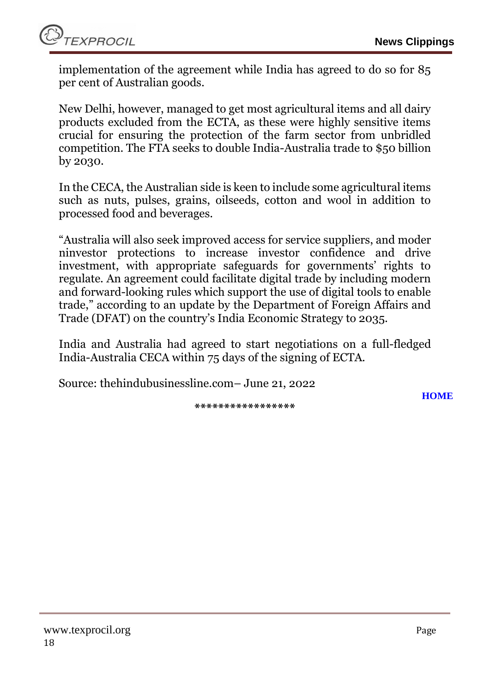implementation of the agreement while India has agreed to do so for 85 per cent of Australian goods.

New Delhi, however, managed to get most agricultural items and all dairy products excluded from the ECTA, as these were highly sensitive items crucial for ensuring the protection of the farm sector from unbridled competition. The FTA seeks to double India-Australia trade to \$50 billion by 2030.

In the CECA, the Australian side is keen to include some agricultural items such as nuts, pulses, grains, oilseeds, cotton and wool in addition to processed food and beverages.

"Australia will also seek improved access for service suppliers, and moder ninvestor protections to increase investor confidence and drive investment, with appropriate safeguards for governments' rights to regulate. An agreement could facilitate digital trade by including modern and forward-looking rules which support the use of digital tools to enable trade," according to an update by the Department of Foreign Affairs and Trade (DFAT) on the country's India Economic Strategy to 2035.

India and Australia had agreed to start negotiations on a full-fledged India-Australia CECA within 75 days of the signing of ECTA.

Source: thehindubusinessline.com– June 21, 2022

**\*\*\*\*\*\*\*\*\*\*\*\*\*\*\*\*\***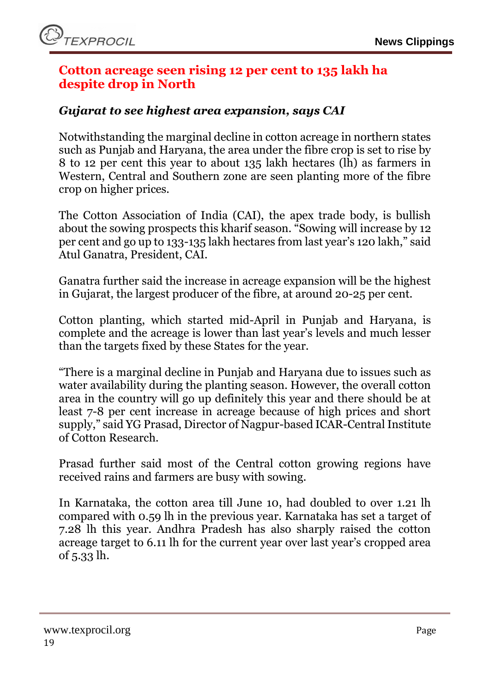### <span id="page-18-0"></span>**Cotton acreage seen rising 12 per cent to 135 lakh ha despite drop in North**

### *Gujarat to see highest area expansion, says CAI*

Notwithstanding the marginal decline in cotton acreage in northern states such as Punjab and Haryana, the area under the fibre crop is set to rise by 8 to 12 per cent this year to about 135 lakh hectares (lh) as farmers in Western, Central and Southern zone are seen planting more of the fibre crop on higher prices.

The Cotton Association of India (CAI), the apex trade body, is bullish about the sowing prospects this kharif season. "Sowing will increase by 12 per cent and go up to 133-135 lakh hectares from last year's 120 lakh," said Atul Ganatra, President, CAI.

Ganatra further said the increase in acreage expansion will be the highest in Gujarat, the largest producer of the fibre, at around 20-25 per cent.

Cotton planting, which started mid-April in Punjab and Haryana, is complete and the acreage is lower than last year's levels and much lesser than the targets fixed by these States for the year.

"There is a marginal decline in Punjab and Haryana due to issues such as water availability during the planting season. However, the overall cotton area in the country will go up definitely this year and there should be at least 7-8 per cent increase in acreage because of high prices and short supply," said YG Prasad, Director of Nagpur-based ICAR-Central Institute of Cotton Research.

Prasad further said most of the Central cotton growing regions have received rains and farmers are busy with sowing.

In Karnataka, the cotton area till June 10, had doubled to over 1.21 lh compared with 0.59 lh in the previous year. Karnataka has set a target of 7.28 lh this year. Andhra Pradesh has also sharply raised the cotton acreage target to 6.11 lh for the current year over last year's cropped area of 5.33 lh.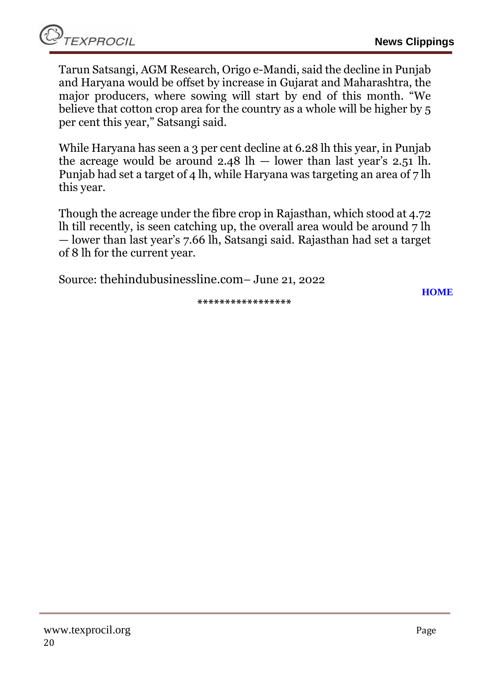Tarun Satsangi, AGM Research, Origo e-Mandi, said the decline in Punjab and Haryana would be offset by increase in Gujarat and Maharashtra, the major producers, where sowing will start by end of this month. "We believe that cotton crop area for the country as a whole will be higher by 5 per cent this year," Satsangi said.

While Haryana has seen a 3 per cent decline at 6.28 lh this year, in Punjab the acreage would be around  $2.48$  lh  $-$  lower than last year's  $2.51$  lh. Punjab had set a target of 4 lh, while Haryana was targeting an area of 7 lh this year.

Though the acreage under the fibre crop in Rajasthan, which stood at 4.72 lh till recently, is seen catching up, the overall area would be around 7 lh — lower than last year's 7.66 lh, Satsangi said. Rajasthan had set a target of 8 lh for the current year.

Source: thehindubusinessline.com– June 21, 2022

**\*\*\*\*\*\*\*\*\*\*\*\*\*\*\*\*\***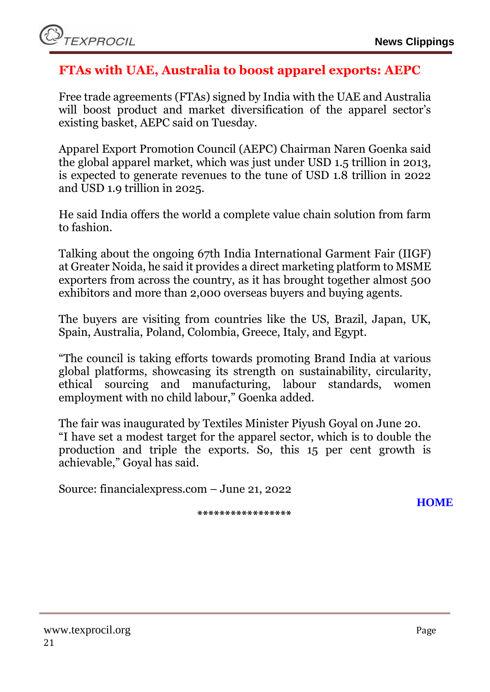# <span id="page-20-0"></span>**FTAs with UAE, Australia to boost apparel exports: AEPC**

Free trade agreements (FTAs) signed by India with the UAE and Australia will boost product and market diversification of the apparel sector's existing basket, AEPC said on Tuesday.

Apparel Export Promotion Council (AEPC) Chairman Naren Goenka said the global apparel market, which was just under USD 1.5 trillion in 2013, is expected to generate revenues to the tune of USD 1.8 trillion in 2022 and USD 1.9 trillion in 2025.

He said India offers the world a complete value chain solution from farm to fashion.

Talking about the ongoing 67th India International Garment Fair (IIGF) at Greater Noida, he said it provides a direct marketing platform to MSME exporters from across the country, as it has brought together almost 500 exhibitors and more than 2,000 overseas buyers and buying agents.

The buyers are visiting from countries like the US, Brazil, Japan, UK, Spain, Australia, Poland, Colombia, Greece, Italy, and Egypt.

"The council is taking efforts towards promoting Brand India at various global platforms, showcasing its strength on sustainability, circularity, ethical sourcing and manufacturing, labour standards, women employment with no child labour," Goenka added.

The fair was inaugurated by Textiles Minister Piyush Goyal on June 20. "I have set a modest target for the apparel sector, which is to double the production and triple the exports. So, this 15 per cent growth is achievable," Goyal has said.

Source: financialexpress.com – June 21, 2022

**\*\*\*\*\*\*\*\*\*\*\*\*\*\*\*\*\***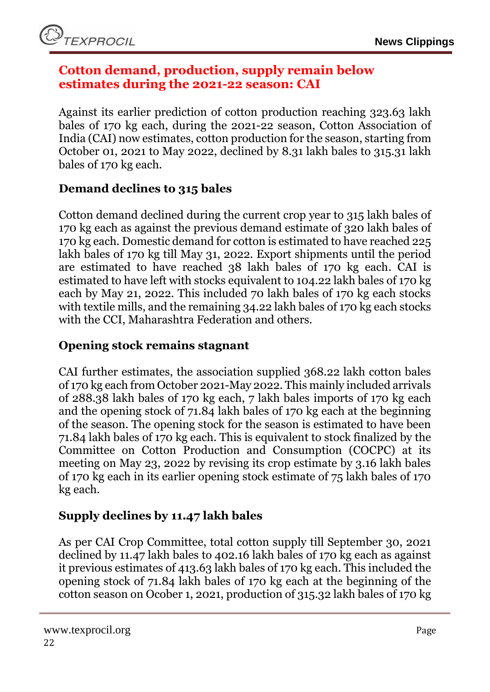### <span id="page-21-0"></span>**Cotton demand, production, supply remain below estimates during the 2021-22 season: CAI**

Against its earlier prediction of cotton production reaching 323.63 lakh bales of 170 kg each, during the 2021-22 season, Cotton Association of India (CAI) now estimates, cotton production for the season, starting from October 01, 2021 to May 2022, declined by 8.31 lakh bales to 315.31 lakh bales of 170 kg each.

# **Demand declines to 315 bales**

Cotton demand declined during the current crop year to 315 lakh bales of 170 kg each as against the previous demand estimate of 320 lakh bales of 170 kg each. Domestic demand for cotton is estimated to have reached 225 lakh bales of 170 kg till May 31, 2022. Export shipments until the period are estimated to have reached 38 lakh bales of 170 kg each. CAI is estimated to have left with stocks equivalent to 104.22 lakh bales of 170 kg each by May 21, 2022. This included 70 lakh bales of 170 kg each stocks with textile mills, and the remaining 34.22 lakh bales of 170 kg each stocks with the CCI, Maharashtra Federation and others.

## **Opening stock remains stagnant**

CAI further estimates, the association supplied 368.22 lakh cotton bales of 170 kg each from October 2021-May 2022. This mainly included arrivals of 288.38 lakh bales of 170 kg each, 7 lakh bales imports of 170 kg each and the opening stock of 71.84 lakh bales of 170 kg each at the beginning of the season. The opening stock for the season is estimated to have been 71.84 lakh bales of 170 kg each. This is equivalent to stock finalized by the Committee on Cotton Production and Consumption (COCPC) at its meeting on May 23, 2022 by revising its crop estimate by 3.16 lakh bales of 170 kg each in its earlier opening stock estimate of 75 lakh bales of 170 kg each.

# **Supply declines by 11.47 lakh bales**

As per CAI Crop Committee, total cotton supply till September 30, 2021 declined by 11.47 lakh bales to 402.16 lakh bales of 170 kg each as against it previous estimates of 413.63 lakh bales of 170 kg each. This included the opening stock of 71.84 lakh bales of 170 kg each at the beginning of the cotton season on Ocober 1, 2021, production of 315.32 lakh bales of 170 kg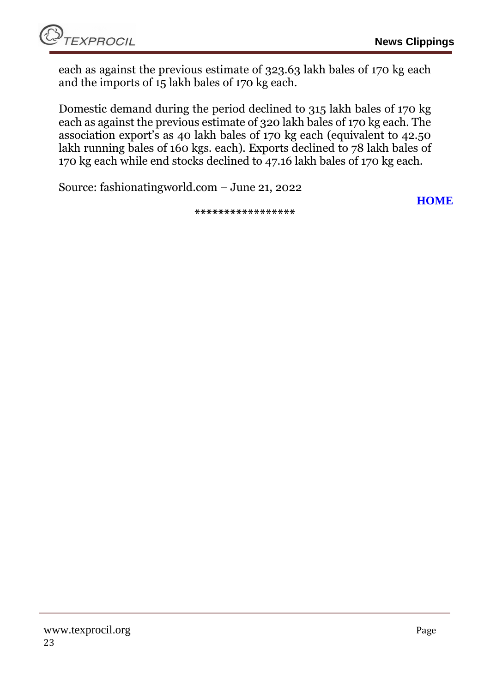each as against the previous estimate of 323.63 lakh bales of 170 kg each and the imports of 15 lakh bales of 170 kg each.

Domestic demand during the period declined to 315 lakh bales of 170 kg each as against the previous estimate of 320 lakh bales of 170 kg each. The association export's as 40 lakh bales of 170 kg each (equivalent to 42.50 lakh running bales of 160 kgs. each). Exports declined to 78 lakh bales of 170 kg each while end stocks declined to 47.16 lakh bales of 170 kg each.

Source: fashionatingworld.com – June 21, 2022

**\*\*\*\*\*\*\*\*\*\*\*\*\*\*\*\*\***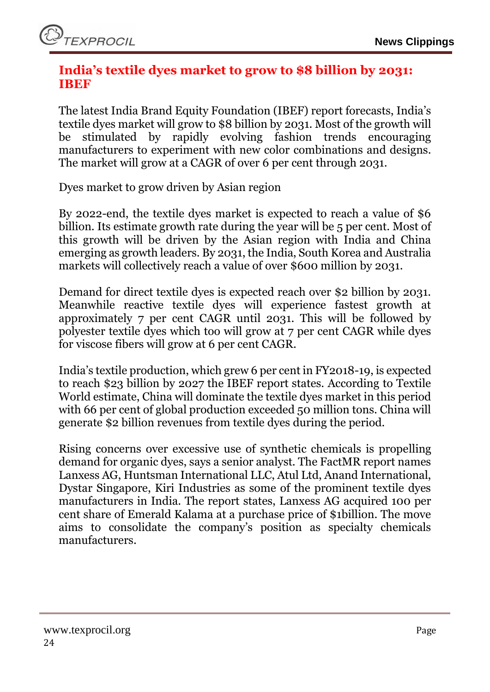### <span id="page-23-0"></span>**India's textile dyes market to grow to \$8 billion by 2031: IBEF**

The latest India Brand Equity Foundation (IBEF) report forecasts, India's textile dyes market will grow to \$8 billion by 2031. Most of the growth will be stimulated by rapidly evolving fashion trends encouraging manufacturers to experiment with new color combinations and designs. The market will grow at a CAGR of over 6 per cent through 2031.

Dyes market to grow driven by Asian region

By 2022-end, the textile dyes market is expected to reach a value of \$6 billion. Its estimate growth rate during the year will be 5 per cent. Most of this growth will be driven by the Asian region with India and China emerging as growth leaders. By 2031, the India, South Korea and Australia markets will collectively reach a value of over \$600 million by 2031.

Demand for direct textile dyes is expected reach over \$2 billion by 2031. Meanwhile reactive textile dyes will experience fastest growth at approximately 7 per cent CAGR until 2031. This will be followed by polyester textile dyes which too will grow at 7 per cent CAGR while dyes for viscose fibers will grow at 6 per cent CAGR.

India's textile production, which grew 6 per cent in FY2018-19, is expected to reach \$23 billion by 2027 the IBEF report states. According to Textile World estimate, China will dominate the textile dyes market in this period with 66 per cent of global production exceeded 50 million tons. China will generate \$2 billion revenues from textile dyes during the period.

Rising concerns over excessive use of synthetic chemicals is propelling demand for organic dyes, says a senior analyst. The FactMR report names Lanxess AG, Huntsman International LLC, Atul Ltd, Anand International, Dystar Singapore, Kiri Industries as some of the prominent textile dyes manufacturers in India. The report states, Lanxess AG acquired 100 per cent share of Emerald Kalama at a purchase price of \$1billion. The move aims to consolidate the company's position as specialty chemicals manufacturers.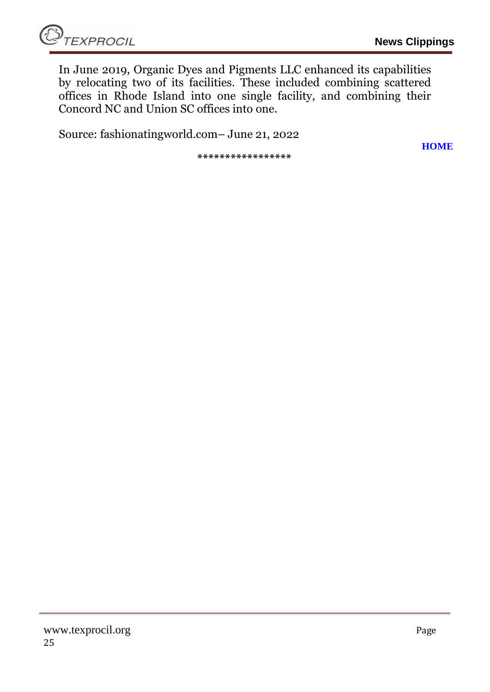In June 2019, Organic Dyes and Pigments LLC enhanced its capabilities by relocating two of its facilities. These included combining scattered offices in Rhode Island into one single facility, and combining their Concord NC and Union SC offices into one.

Source: fashionatingworld.com– June 21, 2022

**\*\*\*\*\*\*\*\*\*\*\*\*\*\*\*\*\***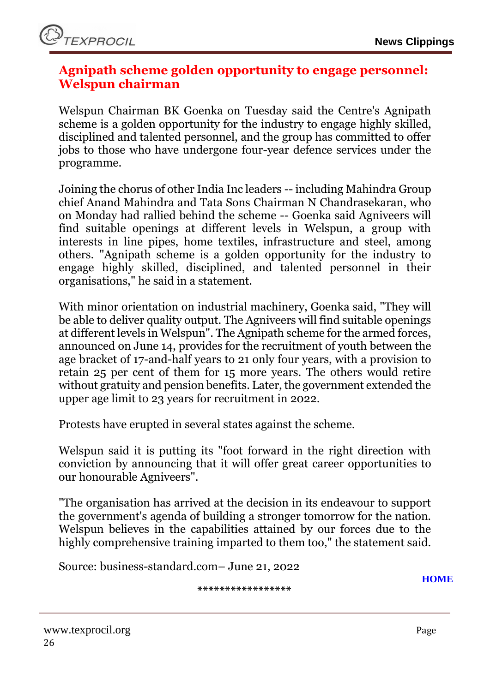### <span id="page-25-0"></span>**Agnipath scheme golden opportunity to engage personnel: Welspun chairman**

Welspun Chairman BK Goenka on Tuesday said the Centre's Agnipath scheme is a golden opportunity for the industry to engage highly skilled, disciplined and talented personnel, and the group has committed to offer jobs to those who have undergone four-year defence services under the programme.

Joining the chorus of other India Inc leaders -- including Mahindra Group chief Anand Mahindra and Tata Sons Chairman N Chandrasekaran, who on Monday had rallied behind the scheme -- Goenka said Agniveers will find suitable openings at different levels in Welspun, a group with interests in line pipes, home textiles, infrastructure and steel, among others. "Agnipath scheme is a golden opportunity for the industry to engage highly skilled, disciplined, and talented personnel in their organisations," he said in a statement.

With minor orientation on industrial machinery, Goenka said, "They will be able to deliver quality output. The Agniveers will find suitable openings at different levels in Welspun". The Agnipath scheme for the armed forces, announced on June 14, provides for the recruitment of youth between the age bracket of 17-and-half years to 21 only four years, with a provision to retain 25 per cent of them for 15 more years. The others would retire without gratuity and pension benefits. Later, the government extended the upper age limit to 23 years for recruitment in 2022.

[Protests](https://www.business-standard.com/topic/protests) have erupted in several states against the scheme.

Welspun said it is putting its "foot forward in the right direction with conviction by announcing that it will offer great career opportunities to our honourable Agniveers".

"The organisation has arrived at the decision in its endeavour to support the government's agenda of building a stronger tomorrow for the nation. Welspun believes in the capabilities attained by our forces due to the highly comprehensive training imparted to them too," the statement said.

Source: business-standard.com– June 21, 2022

**\*\*\*\*\*\*\*\*\*\*\*\*\*\*\*\*\***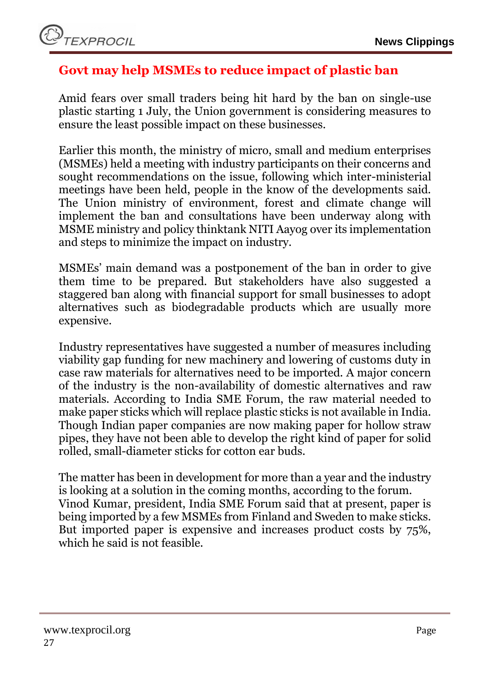# <span id="page-26-0"></span>**Govt may help MSMEs to reduce impact of plastic ban**

Amid fears over small traders being hit hard by the ban on single-use plastic starting 1 July, the Union government is considering measures to ensure the least possible impact on these businesses.

Earlier this month, the ministry of micro, small and medium enterprises (MSMEs) held a meeting with industry participants on their concerns and sought recommendations on the issue, following which inter-ministerial meetings have been held, people in the know of the developments said. The Union ministry of environment, forest and climate change will implement the ban and consultations have been underway along with MSME ministry and policy thinktank NITI Aayog over its implementation and steps to minimize the impact on industry.

MSMEs' main demand was a postponement of the ban in order to give them time to be prepared. But stakeholders have also suggested a staggered ban along with financial support for small businesses to adopt alternatives such as biodegradable products which are usually more expensive.

Industry representatives have suggested a number of measures including viability gap funding for new machinery and lowering of customs duty in case raw materials for alternatives need to be imported. A major concern of the industry is the non-availability of domestic alternatives and raw materials. According to India SME Forum, the raw material needed to make paper sticks which will replace plastic sticks is not available in India. Though Indian paper companies are now making paper for hollow straw pipes, they have not been able to develop the right kind of paper for solid rolled, small-diameter sticks for cotton ear buds.

The matter has been in development for more than a year and the industry is looking at a solution in the coming months, according to the forum. Vinod Kumar, president, India SME Forum said that at present, paper is being imported by a few MSMEs from Finland and Sweden to make sticks. But imported paper is expensive and increases product costs by 75%, which he said is not feasible.